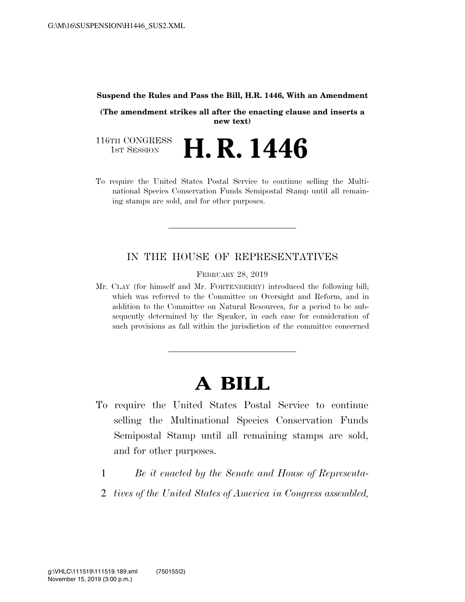#### **Suspend the Rules and Pass the Bill, H.R. 1446, With an Amendment**

**(The amendment strikes all after the enacting clause and inserts a new text)** 

116TH CONGRESS<br>1st Session H. R. 1446

To require the United States Postal Service to continue selling the Multinational Species Conservation Funds Semipostal Stamp until all remaining stamps are sold, and for other purposes.

### IN THE HOUSE OF REPRESENTATIVES

FEBRUARY 28, 2019

Mr. CLAY (for himself and Mr. FORTENBERRY) introduced the following bill; which was referred to the Committee on Oversight and Reform, and in addition to the Committee on Natural Resources, for a period to be subsequently determined by the Speaker, in each case for consideration of such provisions as fall within the jurisdiction of the committee concerned

# **A BILL**

- To require the United States Postal Service to continue selling the Multinational Species Conservation Funds Semipostal Stamp until all remaining stamps are sold, and for other purposes.
	- 1 *Be it enacted by the Senate and House of Representa-*
	- 2 *tives of the United States of America in Congress assembled,*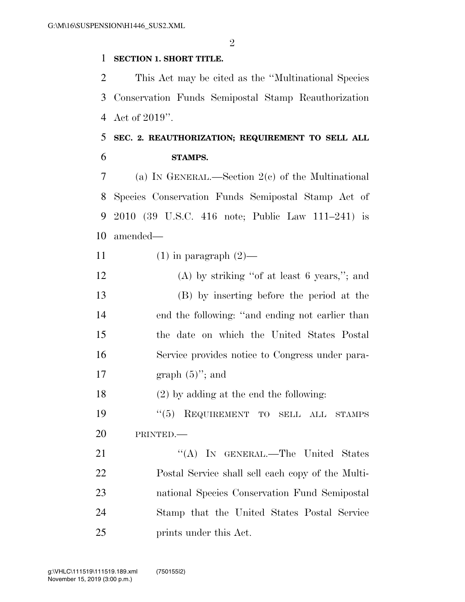#### **SECTION 1. SHORT TITLE.**

 This Act may be cited as the ''Multinational Species Conservation Funds Semipostal Stamp Reauthorization Act of 2019''.

## **SEC. 2. REAUTHORIZATION; REQUIREMENT TO SELL ALL STAMPS.**

 (a) IN GENERAL.—Section 2(c) of the Multinational Species Conservation Funds Semipostal Stamp Act of 2010 (39 U.S.C. 416 note; Public Law 111–241) is amended—

- 11  $(1)$  in paragraph  $(2)$ —
- (A) by striking ''of at least 6 years,''; and (B) by inserting before the period at the end the following: ''and ending not earlier than the date on which the United States Postal Service provides notice to Congress under para-17 graph  $(5)$ "; and

(2) by adding at the end the following:

19  $(5)$  REQUIREMENT TO SELL ALL STAMPS PRINTED.—

21 "'(A) In GENERAL.—The United States Postal Service shall sell each copy of the Multi- national Species Conservation Fund Semipostal Stamp that the United States Postal Service prints under this Act.